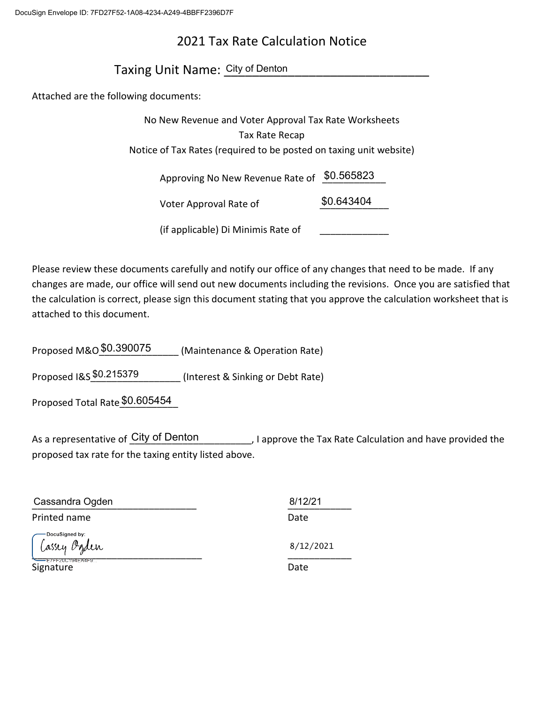# 2021 Tax Rate Calculation Notice

Taxing Unit Name: City of Denton

Attached are the following documents:

| No New Revenue and Voter Approval Tax Rate Worksheets              |            |
|--------------------------------------------------------------------|------------|
| Tax Rate Recap                                                     |            |
| Notice of Tax Rates (required to be posted on taxing unit website) |            |
| Approving No New Revenue Rate of                                   | \$0.565823 |
| Voter Approval Rate of                                             | \$0.643404 |
| (if applicable) Di Minimis Rate of                                 |            |

Please review these documents carefully and notify our office of any changes that need to be made. If any changes are made, our office will send out new documents including the revisions. Once you are satisfied that the calculation is correct, please sign this document stating that you approve the calculation worksheet that is attached to this document.

Proposed M&O $\frac{$0.390075}{\ldots}$  (Maintenance & Operation Rate)

Proposed I&S \$0.215379 (Interest & Sinking or Debt Rate)

Proposed Total Rate \$0.605454

As a representative of City of Denton Theodore Duprove the Tax Rate Calculation and have provided the proposed tax rate for the taxing entity listed above.

| Cassandra Ogden                | 8/12/21   |
|--------------------------------|-----------|
| Printed name                   | Date      |
| DocuSigned by:<br>Cassey Ogden | 8/12/2021 |
| E7FF20C194EA4F9<br>Signature   | Date      |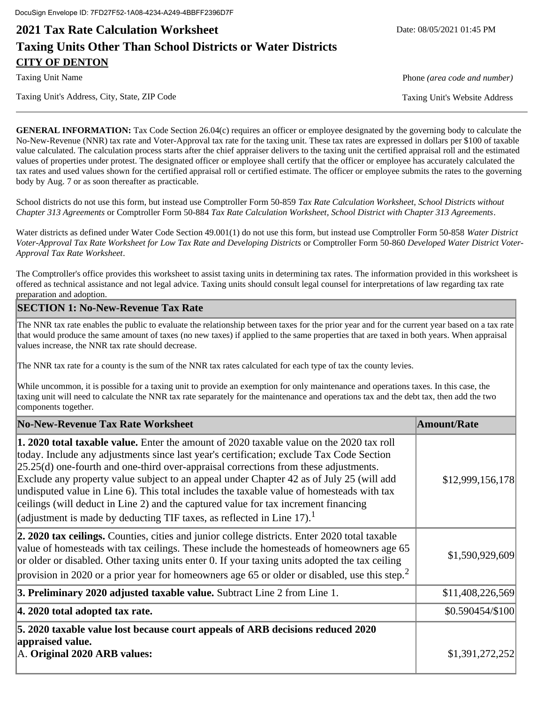# **2021 Tax Rate Calculation Worksheet** And Date: 08/05/2021 01:45 PM **Taxing Units Other Than School Districts or Water Districts CITY OF DENTON**

Taxing Unit's Address, City, State, ZIP Code Taxing Unit's Website Address

Taxing Unit Name Phone *(area code and number)*

**GENERAL INFORMATION:** Tax Code Section 26.04(c) requires an officer or employee designated by the governing body to calculate the No-New-Revenue (NNR) tax rate and Voter-Approval tax rate for the taxing unit. These tax rates are expressed in dollars per \$100 of taxable value calculated. The calculation process starts after the chief appraiser delivers to the taxing unit the certified appraisal roll and the estimated values of properties under protest. The designated officer or employee shall certify that the officer or employee has accurately calculated the tax rates and used values shown for the certified appraisal roll or certified estimate. The officer or employee submits the rates to the governing body by Aug. 7 or as soon thereafter as practicable.

School districts do not use this form, but instead use Comptroller Form 50-859 *Tax Rate Calculation Worksheet, School Districts without Chapter 313 Agreements* or Comptroller Form 50-884 *Tax Rate Calculation Worksheet, School District with Chapter 313 Agreements*.

Water districts as defined under Water Code Section 49.001(1) do not use this form, but instead use Comptroller Form 50-858 *Water District Voter-Approval Tax Rate Worksheet for Low Tax Rate and Developing Districts* or Comptroller Form 50-860 *Developed Water District Voter-Approval Tax Rate Worksheet*.

The Comptroller's office provides this worksheet to assist taxing units in determining tax rates. The information provided in this worksheet is offered as technical assistance and not legal advice. Taxing units should consult legal counsel for interpretations of law regarding tax rate preparation and adoption.

## **SECTION 1: No-New-Revenue Tax Rate**

The NNR tax rate enables the public to evaluate the relationship between taxes for the prior year and for the current year based on a tax rate that would produce the same amount of taxes (no new taxes) if applied to the same properties that are taxed in both years. When appraisal values increase, the NNR tax rate should decrease.

The NNR tax rate for a county is the sum of the NNR tax rates calculated for each type of tax the county levies.

While uncommon, it is possible for a taxing unit to provide an exemption for only maintenance and operations taxes. In this case, the taxing unit will need to calculate the NNR tax rate separately for the maintenance and operations tax and the debt tax, then add the two components together.

| No-New-Revenue Tax Rate Worksheet                                                                                                                                                                                                                                                                                                                                                                                                                                                                                                                                                                                                                             | <b>Amount/Rate</b> |
|---------------------------------------------------------------------------------------------------------------------------------------------------------------------------------------------------------------------------------------------------------------------------------------------------------------------------------------------------------------------------------------------------------------------------------------------------------------------------------------------------------------------------------------------------------------------------------------------------------------------------------------------------------------|--------------------|
| <b>1. 2020 total taxable value.</b> Enter the amount of 2020 taxable value on the 2020 tax roll<br>today. Include any adjustments since last year's certification; exclude Tax Code Section<br>$[25.25(d)$ one-fourth and one-third over-appraisal corrections from these adjustments.<br>Exclude any property value subject to an appeal under Chapter 42 as of July 25 (will add<br>undisputed value in Line 6). This total includes the taxable value of homesteads with tax<br>ceilings (will deduct in Line 2) and the captured value for tax increment financing<br> (adjustment is made by deducting TIF taxes, as reflected in Line 17). <sup>1</sup> | \$12,999,156,178   |
| 2. 2020 tax ceilings. Counties, cities and junior college districts. Enter 2020 total taxable<br>value of homesteads with tax ceilings. These include the homesteads of homeowners age 65<br>or older or disabled. Other taxing units enter 0. If your taxing units adopted the tax ceiling<br>provision in 2020 or a prior year for homeowners age 65 or older or disabled, use this step. <sup>2</sup>                                                                                                                                                                                                                                                      | \$1,590,929,609    |
| 3. Preliminary 2020 adjusted taxable value. Subtract Line 2 from Line 1.                                                                                                                                                                                                                                                                                                                                                                                                                                                                                                                                                                                      | \$11,408,226,569   |
| $ 4.2020$ total adopted tax rate.                                                                                                                                                                                                                                                                                                                                                                                                                                                                                                                                                                                                                             | \$0.590454/\$100   |
| 5. 2020 taxable value lost because court appeals of ARB decisions reduced 2020<br>appraised value.<br>A. Original 2020 ARB values:                                                                                                                                                                                                                                                                                                                                                                                                                                                                                                                            | \$1,391,272,252    |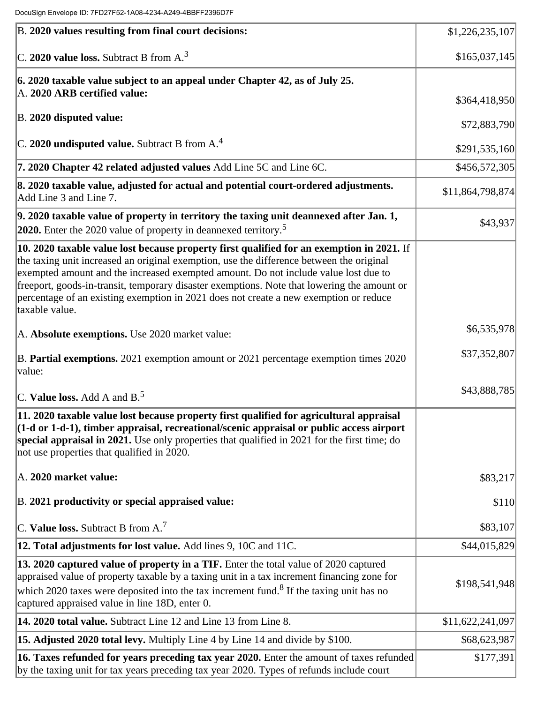| B. 2020 values resulting from final court decisions:                                                                                                                                                                                                                                                                                                                                                                                                                                   | \$1,226,235,107  |
|----------------------------------------------------------------------------------------------------------------------------------------------------------------------------------------------------------------------------------------------------------------------------------------------------------------------------------------------------------------------------------------------------------------------------------------------------------------------------------------|------------------|
| C. 2020 value loss. Subtract B from $A3$                                                                                                                                                                                                                                                                                                                                                                                                                                               | \$165,037,145    |
| $ 6.2020$ taxable value subject to an appeal under Chapter 42, as of July 25.<br>A. 2020 ARB certified value:                                                                                                                                                                                                                                                                                                                                                                          | \$364,418,950    |
| B. 2020 disputed value:                                                                                                                                                                                                                                                                                                                                                                                                                                                                | \$72,883,790     |
| $ C. 2020$ undisputed value. Subtract B from A. <sup>4</sup>                                                                                                                                                                                                                                                                                                                                                                                                                           | \$291,535,160    |
| 7. 2020 Chapter 42 related adjusted values Add Line 5C and Line 6C.                                                                                                                                                                                                                                                                                                                                                                                                                    | \$456,572,305    |
| 8. 2020 taxable value, adjusted for actual and potential court-ordered adjustments.<br>Add Line 3 and Line 7.                                                                                                                                                                                                                                                                                                                                                                          | \$11,864,798,874 |
| $9.2020$ taxable value of property in territory the taxing unit deannexed after Jan. 1,<br><b>2020.</b> Enter the 2020 value of property in deannexed territory. <sup>5</sup>                                                                                                                                                                                                                                                                                                          | \$43,937         |
| 10. 2020 taxable value lost because property first qualified for an exemption in 2021. If<br>the taxing unit increased an original exemption, use the difference between the original<br>exempted amount and the increased exempted amount. Do not include value lost due to<br>freeport, goods-in-transit, temporary disaster exemptions. Note that lowering the amount or<br>percentage of an existing exemption in 2021 does not create a new exemption or reduce<br>taxable value. |                  |
| A. Absolute exemptions. Use 2020 market value:                                                                                                                                                                                                                                                                                                                                                                                                                                         | \$6,535,978      |
| B. Partial exemptions. 2021 exemption amount or 2021 percentage exemption times 2020<br>value:                                                                                                                                                                                                                                                                                                                                                                                         | \$37,352,807     |
| C. Value loss. Add A and B. $5$                                                                                                                                                                                                                                                                                                                                                                                                                                                        | \$43,888,785     |
| 11. 2020 taxable value lost because property first qualified for agricultural appraisal<br>(1-d or 1-d-1), timber appraisal, recreational/scenic appraisal or public access airport<br>special appraisal in 2021. Use only properties that qualified in 2021 for the first time; do<br>not use properties that qualified in 2020.                                                                                                                                                      |                  |
| A. 2020 market value:                                                                                                                                                                                                                                                                                                                                                                                                                                                                  | \$83,217         |
| B. 2021 productivity or special appraised value:                                                                                                                                                                                                                                                                                                                                                                                                                                       | \$110            |
| C. Value loss. Subtract B from $A$ . <sup>7</sup>                                                                                                                                                                                                                                                                                                                                                                                                                                      | \$83,107         |
| 12. Total adjustments for lost value. Add lines 9, 10C and 11C.                                                                                                                                                                                                                                                                                                                                                                                                                        | \$44,015,829     |
| 13. 2020 captured value of property in a TIF. Enter the total value of 2020 captured<br>appraised value of property taxable by a taxing unit in a tax increment financing zone for<br>which 2020 taxes were deposited into the tax increment fund. <sup>8</sup> If the taxing unit has no<br>captured appraised value in line 18D, enter 0.                                                                                                                                            | \$198,541,948    |
| 14. 2020 total value. Subtract Line 12 and Line 13 from Line 8.                                                                                                                                                                                                                                                                                                                                                                                                                        | \$11,622,241,097 |
| 15. Adjusted 2020 total levy. Multiply Line 4 by Line 14 and divide by \$100.                                                                                                                                                                                                                                                                                                                                                                                                          | \$68,623,987     |
| 16. Taxes refunded for years preceding tax year 2020. Enter the amount of taxes refunded<br>by the taxing unit for tax years preceding tax year 2020. Types of refunds include court                                                                                                                                                                                                                                                                                                   | \$177,391        |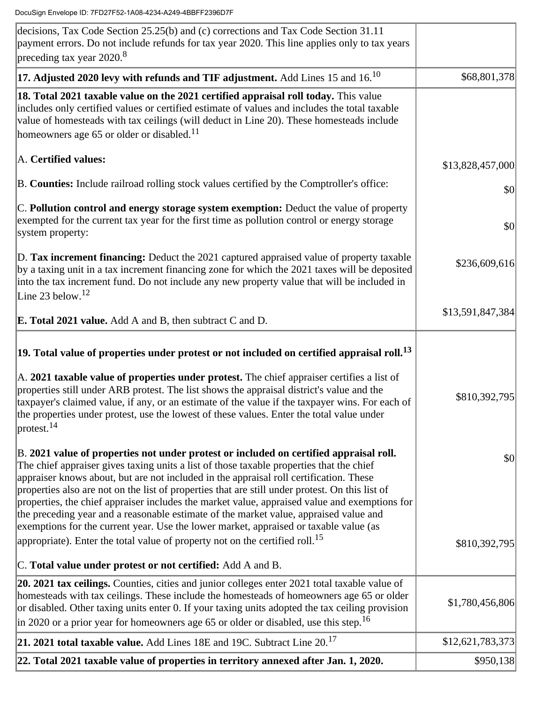| 22. Total 2021 taxable value of properties in territory annexed after Jan. 1, 2020.                                                                                                                                                                                                                                                                                                                                                                                             | \$950,138        |
|---------------------------------------------------------------------------------------------------------------------------------------------------------------------------------------------------------------------------------------------------------------------------------------------------------------------------------------------------------------------------------------------------------------------------------------------------------------------------------|------------------|
| 21. 2021 total taxable value. Add Lines 18E and 19C. Subtract Line 20. <sup>17</sup>                                                                                                                                                                                                                                                                                                                                                                                            | \$12,621,783,373 |
| 20. 2021 tax ceilings. Counties, cities and junior colleges enter 2021 total taxable value of<br>homesteads with tax ceilings. These include the homesteads of homeowners age 65 or older<br>or disabled. Other taxing units enter 0. If your taxing units adopted the tax ceiling provision<br>in 2020 or a prior year for homeowners age 65 or older or disabled, use this step. <sup>16</sup>                                                                                | \$1,780,456,806  |
| C. Total value under protest or not certified: Add A and B.                                                                                                                                                                                                                                                                                                                                                                                                                     |                  |
| exemptions for the current year. Use the lower market, appraised or taxable value (as<br>appropriate). Enter the total value of property not on the certified roll. <sup>15</sup>                                                                                                                                                                                                                                                                                               | \$810,392,795    |
| The chief appraiser gives taxing units a list of those taxable properties that the chief<br>appraiser knows about, but are not included in the appraisal roll certification. These<br>properties also are not on the list of properties that are still under protest. On this list of<br>properties, the chief appraiser includes the market value, appraised value and exemptions for<br>the preceding year and a reasonable estimate of the market value, appraised value and | \$0              |
| protest. <sup>14</sup><br>B. 2021 value of properties not under protest or included on certified appraisal roll.                                                                                                                                                                                                                                                                                                                                                                |                  |
| A. 2021 taxable value of properties under protest. The chief appraiser certifies a list of<br>properties still under ARB protest. The list shows the appraisal district's value and the<br>taxpayer's claimed value, if any, or an estimate of the value if the taxpayer wins. For each of<br>the properties under protest, use the lowest of these values. Enter the total value under                                                                                         | \$810,392,795    |
| 19. Total value of properties under protest or not included on certified appraisal roll. $^{13}$                                                                                                                                                                                                                                                                                                                                                                                |                  |
| <b>E. Total 2021 value.</b> Add A and B, then subtract C and D.                                                                                                                                                                                                                                                                                                                                                                                                                 | \$13,591,847,384 |
| by a taxing unit in a tax increment financing zone for which the 2021 taxes will be deposited<br>into the tax increment fund. Do not include any new property value that will be included in<br>Line 23 below. $12$                                                                                                                                                                                                                                                             |                  |
| D. Tax increment financing: Deduct the 2021 captured appraised value of property taxable                                                                                                                                                                                                                                                                                                                                                                                        | \$236,609,616    |
| C. Pollution control and energy storage system exemption: Deduct the value of property<br>exempted for the current tax year for the first time as pollution control or energy storage<br>system property:                                                                                                                                                                                                                                                                       | \$0              |
| B. Counties: Include railroad rolling stock values certified by the Comptroller's office:                                                                                                                                                                                                                                                                                                                                                                                       | \$0              |
| A. Certified values:                                                                                                                                                                                                                                                                                                                                                                                                                                                            | \$13,828,457,000 |
| 18. Total 2021 taxable value on the 2021 certified appraisal roll today. This value<br>includes only certified values or certified estimate of values and includes the total taxable<br>value of homesteads with tax ceilings (will deduct in Line 20). These homesteads include<br>homeowners age 65 or older or disabled. $11$                                                                                                                                                |                  |
| 17. Adjusted 2020 levy with refunds and TIF adjustment. Add Lines 15 and 16. $^{10}$                                                                                                                                                                                                                                                                                                                                                                                            | \$68,801,378     |
| decisions, Tax Code Section 25.25(b) and (c) corrections and Tax Code Section 31.11<br>payment errors. Do not include refunds for tax year 2020. This line applies only to tax years<br>preceding tax year 2020. <sup>8</sup>                                                                                                                                                                                                                                                   |                  |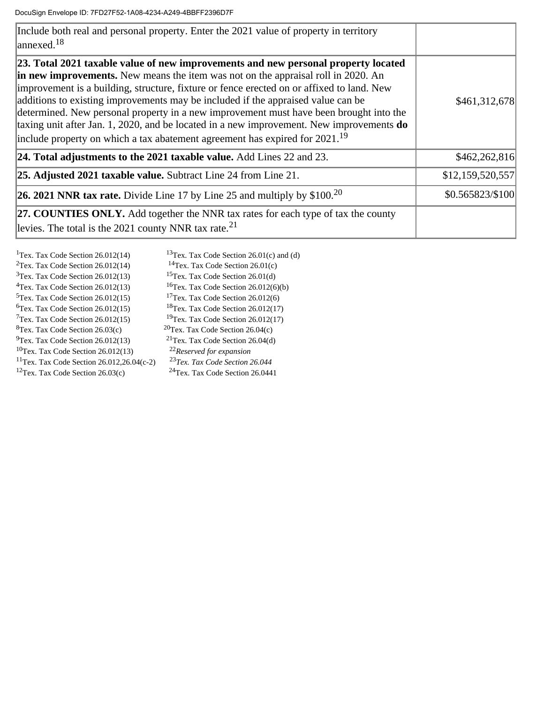| Include both real and personal property. Enter the 2021 value of property in territory<br>$\vert$ annexed. <sup>18</sup>                                                                                                                                                                                                                                                                                                                                                                                                                                                                                                                        |                  |
|-------------------------------------------------------------------------------------------------------------------------------------------------------------------------------------------------------------------------------------------------------------------------------------------------------------------------------------------------------------------------------------------------------------------------------------------------------------------------------------------------------------------------------------------------------------------------------------------------------------------------------------------------|------------------|
| [23. Total 2021 taxable value of new improvements and new personal property located<br>in new improvements. New means the item was not on the appraisal roll in 2020. An<br>improvement is a building, structure, fixture or fence erected on or affixed to land. New<br>additions to existing improvements may be included if the appraised value can be<br>determined. New personal property in a new improvement must have been brought into the<br>taxing unit after Jan. 1, 2020, and be located in a new improvement. New improvements $do$<br>include property on which a tax abatement agreement has expired for $2021$ . <sup>19</sup> | \$461,312,678    |
| 24. Total adjustments to the 2021 taxable value. Add Lines 22 and 23.                                                                                                                                                                                                                                                                                                                                                                                                                                                                                                                                                                           | \$462,262,816    |
| <b>25. Adjusted 2021 taxable value.</b> Subtract Line 24 from Line 21.                                                                                                                                                                                                                                                                                                                                                                                                                                                                                                                                                                          | \$12,159,520,557 |
| <b>26. 2021 NNR tax rate.</b> Divide Line 17 by Line 25 and multiply by $$100.20$                                                                                                                                                                                                                                                                                                                                                                                                                                                                                                                                                               | \$0.565823/\$100 |
| <b>27. COUNTIES ONLY.</b> Add together the NNR tax rates for each type of tax the county<br>levies. The total is the 2021 county NNR tax rate. $^{21}$                                                                                                                                                                                                                                                                                                                                                                                                                                                                                          |                  |

| <sup>1</sup> Tex. Tax Code Section 26.012(14)         | <sup>13</sup> Tex. Tax Code Section 26.01(c) and (d) |
|-------------------------------------------------------|------------------------------------------------------|
| $2$ Tex. Tax Code Section 26.012(14)                  | $14$ Tex. Tax Code Section 26.01(c)                  |
| $3$ Tex. Tax Code Section 26.012(13)                  | <sup>15</sup> Tex. Tax Code Section 26.01(d)         |
| $4$ Tex. Tax Code Section 26.012(13)                  | ${}^{16}$ Tex. Tax Code Section 26.012(6)(b)         |
| <sup>5</sup> Tex. Tax Code Section 26.012(15)         | $17$ Tex. Tax Code Section 26.012(6)                 |
| <sup>6</sup> Tex. Tax Code Section 26.012(15)         | $18$ Tex. Tax Code Section 26.012(17)                |
| $T$ ex. Tax Code Section 26.012(15)                   | $19$ Tex. Tax Code Section 26.012(17)                |
| <sup>8</sup> Tex. Tax Code Section 26.03(c)           | $20$ Tex. Tax Code Section 26.04(c)                  |
| $\rm{^{9}Tex.}$ Tax Code Section 26.012(13)           | $21$ Tex. Tax Code Section 26.04(d)                  |
| $10$ Tex. Tax Code Section 26.012(13)                 | <sup>22</sup> Reserved for expansion                 |
| <sup>11</sup> Tex. Tax Code Section 26.012,26.04(c-2) | <sup>23</sup> Tex. Tax Code Section 26.044           |
| $12$ Tex. Tax Code Section 26.03(c)                   | <sup>24</sup> Tex. Tax Code Section 26.0441          |
|                                                       |                                                      |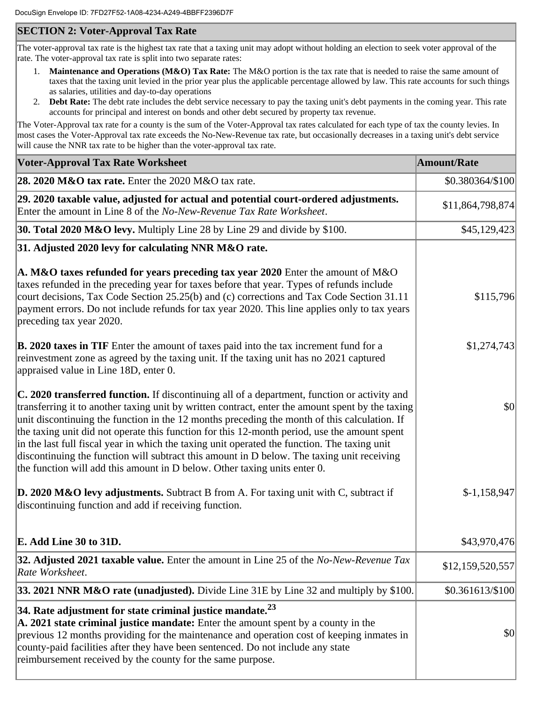## **SECTION 2: Voter-Approval Tax Rate**

The voter-approval tax rate is the highest tax rate that a taxing unit may adopt without holding an election to seek voter approval of the rate. The voter-approval tax rate is split into two separate rates:

- 1. **Maintenance and Operations (M&O) Tax Rate:** The M&O portion is the tax rate that is needed to raise the same amount of taxes that the taxing unit levied in the prior year plus the applicable percentage allowed by law. This rate accounts for such things as salaries, utilities and day-to-day operations
- 2. **Debt Rate:** The debt rate includes the debt service necessary to pay the taxing unit's debt payments in the coming year. This rate accounts for principal and interest on bonds and other debt secured by property tax revenue.

The Voter-Approval tax rate for a county is the sum of the Voter-Approval tax rates calculated for each type of tax the county levies. In most cases the Voter-Approval tax rate exceeds the No-New-Revenue tax rate, but occasionally decreases in a taxing unit's debt service will cause the NNR tax rate to be higher than the voter-approval tax rate.

| <b>Voter-Approval Tax Rate Worksheet</b>                                                                                                                                                                                                                                                                                                                                                                                                                                                                                                                                                                                                                                    | <b>Amount/Rate</b> |
|-----------------------------------------------------------------------------------------------------------------------------------------------------------------------------------------------------------------------------------------------------------------------------------------------------------------------------------------------------------------------------------------------------------------------------------------------------------------------------------------------------------------------------------------------------------------------------------------------------------------------------------------------------------------------------|--------------------|
| 28. 2020 M&O tax rate. Enter the 2020 M&O tax rate.                                                                                                                                                                                                                                                                                                                                                                                                                                                                                                                                                                                                                         | \$0.380364/\$100   |
| [29. 2020 taxable value, adjusted for actual and potential court-ordered adjustments.<br>Enter the amount in Line 8 of the No-New-Revenue Tax Rate Worksheet.                                                                                                                                                                                                                                                                                                                                                                                                                                                                                                               | \$11,864,798,874   |
| <b>30. Total 2020 M&amp;O levy.</b> Multiply Line 28 by Line 29 and divide by \$100.                                                                                                                                                                                                                                                                                                                                                                                                                                                                                                                                                                                        | \$45,129,423       |
| 31. Adjusted 2020 levy for calculating NNR M&O rate.                                                                                                                                                                                                                                                                                                                                                                                                                                                                                                                                                                                                                        |                    |
| A. M&O taxes refunded for years preceding tax year 2020 Enter the amount of M&O<br>taxes refunded in the preceding year for taxes before that year. Types of refunds include<br>court decisions, Tax Code Section 25.25(b) and (c) corrections and Tax Code Section 31.11<br>payment errors. Do not include refunds for tax year 2020. This line applies only to tax years<br>preceding tax year 2020.                                                                                                                                                                                                                                                                      | \$115,796          |
| B. 2020 taxes in TIF Enter the amount of taxes paid into the tax increment fund for a<br>reinvestment zone as agreed by the taxing unit. If the taxing unit has no 2021 captured<br>appraised value in Line 18D, enter 0.                                                                                                                                                                                                                                                                                                                                                                                                                                                   | \$1,274,743        |
| C. 2020 transferred function. If discontinuing all of a department, function or activity and<br>transferring it to another taxing unit by written contract, enter the amount spent by the taxing<br>unit discontinuing the function in the 12 months preceding the month of this calculation. If<br>the taxing unit did not operate this function for this 12-month period, use the amount spent<br>in the last full fiscal year in which the taxing unit operated the function. The taxing unit<br>discontinuing the function will subtract this amount in D below. The taxing unit receiving<br>the function will add this amount in D below. Other taxing units enter 0. | \$0                |
| <b>D. 2020 M&amp;O levy adjustments.</b> Subtract B from A. For taxing unit with C, subtract if<br>discontinuing function and add if receiving function.                                                                                                                                                                                                                                                                                                                                                                                                                                                                                                                    | $$-1,158,947$      |
| E. Add Line 30 to 31D.                                                                                                                                                                                                                                                                                                                                                                                                                                                                                                                                                                                                                                                      | \$43,970,476       |
| 32. Adjusted 2021 taxable value. Enter the amount in Line 25 of the No-New-Revenue Tax<br>Rate Worksheet.                                                                                                                                                                                                                                                                                                                                                                                                                                                                                                                                                                   | \$12,159,520,557   |
| 33. 2021 NNR M&O rate (unadjusted). Divide Line 31E by Line 32 and multiply by \$100.                                                                                                                                                                                                                                                                                                                                                                                                                                                                                                                                                                                       | \$0.361613/\$100   |
| 34. Rate adjustment for state criminal justice mandate. $^{23}$<br>A. 2021 state criminal justice mandate: Enter the amount spent by a county in the<br>previous 12 months providing for the maintenance and operation cost of keeping inmates in<br>county-paid facilities after they have been sentenced. Do not include any state<br>reimbursement received by the county for the same purpose.                                                                                                                                                                                                                                                                          | \$0                |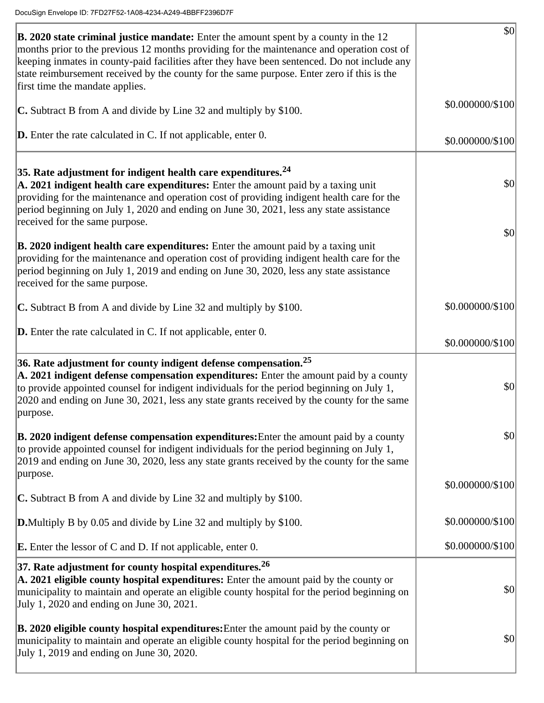| <b>B. 2020 state criminal justice mandate:</b> Enter the amount spent by a county in the 12<br>months prior to the previous 12 months providing for the maintenance and operation cost of<br>keeping inmates in county-paid facilities after they have been sentenced. Do not include any<br>state reimbursement received by the county for the same purpose. Enter zero if this is the<br>first time the mandate applies. | \$0              |
|----------------------------------------------------------------------------------------------------------------------------------------------------------------------------------------------------------------------------------------------------------------------------------------------------------------------------------------------------------------------------------------------------------------------------|------------------|
| C. Subtract B from A and divide by Line 32 and multiply by \$100.                                                                                                                                                                                                                                                                                                                                                          | \$0.000000/\$100 |
| <b>D.</b> Enter the rate calculated in C. If not applicable, enter $0$ .                                                                                                                                                                                                                                                                                                                                                   | \$0.000000/\$100 |
| $ 35$ . Rate adjustment for indigent health care expenditures. $^{24}$<br>A. 2021 indigent health care expenditures: Enter the amount paid by a taxing unit<br>providing for the maintenance and operation cost of providing indigent health care for the<br>period beginning on July 1, 2020 and ending on June 30, 2021, less any state assistance<br>received for the same purpose.                                     | \$0 <br> \$0     |
| <b>B. 2020 indigent health care expenditures:</b> Enter the amount paid by a taxing unit<br>providing for the maintenance and operation cost of providing indigent health care for the<br>period beginning on July 1, 2019 and ending on June 30, 2020, less any state assistance<br>received for the same purpose.                                                                                                        |                  |
| <b>C.</b> Subtract B from A and divide by Line 32 and multiply by \$100.                                                                                                                                                                                                                                                                                                                                                   | \$0.000000/\$100 |
| <b>D.</b> Enter the rate calculated in C. If not applicable, enter $0$ .                                                                                                                                                                                                                                                                                                                                                   | \$0.000000/\$100 |
| $36.$ Rate adjustment for county indigent defense compensation. $^{25}$<br>A. 2021 indigent defense compensation expenditures: Enter the amount paid by a county<br>to provide appointed counsel for indigent individuals for the period beginning on July 1,<br>2020 and ending on June 30, 2021, less any state grants received by the county for the same<br>purpose.                                                   | \$0              |
| <b>B. 2020 indigent defense compensation expenditures:</b> Enter the amount paid by a county<br>to provide appointed counsel for indigent individuals for the period beginning on July 1,<br>2019 and ending on June 30, 2020, less any state grants received by the county for the same                                                                                                                                   | \$0              |
| purpose.<br>C. Subtract B from A and divide by Line 32 and multiply by \$100.                                                                                                                                                                                                                                                                                                                                              | \$0.000000/\$100 |
| <b>D.</b> Multiply B by 0.05 and divide by Line 32 and multiply by \$100.                                                                                                                                                                                                                                                                                                                                                  | \$0.000000/\$100 |
| <b>E.</b> Enter the lessor of $C$ and $D$ . If not applicable, enter $0$ .                                                                                                                                                                                                                                                                                                                                                 | \$0.000000/\$100 |
| 37. Rate adjustment for county hospital expenditures. $26$<br>A. 2021 eligible county hospital expenditures: Enter the amount paid by the county or<br>municipality to maintain and operate an eligible county hospital for the period beginning on<br>July 1, 2020 and ending on June 30, 2021.                                                                                                                           | \$0              |
| <b>B. 2020 eligible county hospital expenditures:</b> Enter the amount paid by the county or<br>municipality to maintain and operate an eligible county hospital for the period beginning on<br>July 1, 2019 and ending on June 30, 2020.                                                                                                                                                                                  | \$0              |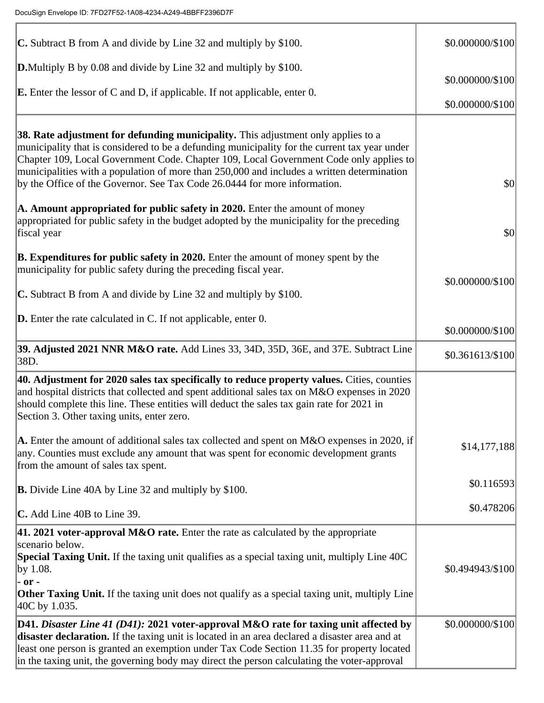| C. Subtract B from A and divide by Line 32 and multiply by \$100.                                                                                                                                                                                                                                                                                                                                                                                       | \$0.000000/\$100                     |
|---------------------------------------------------------------------------------------------------------------------------------------------------------------------------------------------------------------------------------------------------------------------------------------------------------------------------------------------------------------------------------------------------------------------------------------------------------|--------------------------------------|
| <b>D.</b> Multiply B by 0.08 and divide by Line 32 and multiply by \$100.<br><b>E.</b> Enter the lessor of C and D, if applicable. If not applicable, enter 0.                                                                                                                                                                                                                                                                                          | \$0.000000/\$100<br>\$0.000000/\$100 |
| 38. Rate adjustment for defunding municipality. This adjustment only applies to a<br>municipality that is considered to be a defunding municipality for the current tax year under<br>Chapter 109, Local Government Code. Chapter 109, Local Government Code only applies to<br>municipalities with a population of more than 250,000 and includes a written determination<br>by the Office of the Governor. See Tax Code 26.0444 for more information. | \$0                                  |
| A. Amount appropriated for public safety in 2020. Enter the amount of money<br>appropriated for public safety in the budget adopted by the municipality for the preceding<br>fiscal year                                                                                                                                                                                                                                                                | \$0                                  |
| <b>B. Expenditures for public safety in 2020.</b> Enter the amount of money spent by the<br>municipality for public safety during the preceding fiscal year.<br>C. Subtract B from A and divide by Line 32 and multiply by \$100.                                                                                                                                                                                                                       | \$0.000000/\$100                     |
| <b>D.</b> Enter the rate calculated in C. If not applicable, enter 0.                                                                                                                                                                                                                                                                                                                                                                                   | \$0.000000/\$100                     |
| 39. Adjusted 2021 NNR M&O rate. Add Lines 33, 34D, 35D, 36E, and 37E. Subtract Line<br>38D.                                                                                                                                                                                                                                                                                                                                                             | \$0.361613/\$100                     |
| 40. Adjustment for 2020 sales tax specifically to reduce property values. Cities, counties<br>and hospital districts that collected and spent additional sales tax on M&O expenses in 2020<br>should complete this line. These entities will deduct the sales tax gain rate for 2021 in<br>Section 3. Other taxing units, enter zero.                                                                                                                   |                                      |
| A. Enter the amount of additional sales tax collected and spent on M&O expenses in 2020, if<br>any. Counties must exclude any amount that was spent for economic development grants<br>from the amount of sales tax spent.                                                                                                                                                                                                                              | \$14,177,188                         |
| <b>B.</b> Divide Line 40A by Line 32 and multiply by \$100.                                                                                                                                                                                                                                                                                                                                                                                             | \$0.116593                           |
| C. Add Line 40B to Line 39.                                                                                                                                                                                                                                                                                                                                                                                                                             | \$0.478206                           |
| 41. 2021 voter-approval M&O rate. Enter the rate as calculated by the appropriate<br>scenario below.<br>Special Taxing Unit. If the taxing unit qualifies as a special taxing unit, multiply Line 40C<br>by 1.08.<br>- or -<br><b>Other Taxing Unit.</b> If the taxing unit does not qualify as a special taxing unit, multiply Line<br>40C by 1.035.                                                                                                   | \$0.494943/\$100                     |
| D41. Disaster Line 41 (D41): 2021 voter-approval M&O rate for taxing unit affected by<br>disaster declaration. If the taxing unit is located in an area declared a disaster area and at<br>least one person is granted an exemption under Tax Code Section 11.35 for property located<br>in the taxing unit, the governing body may direct the person calculating the voter-approval                                                                    | \$0.000000/\$100                     |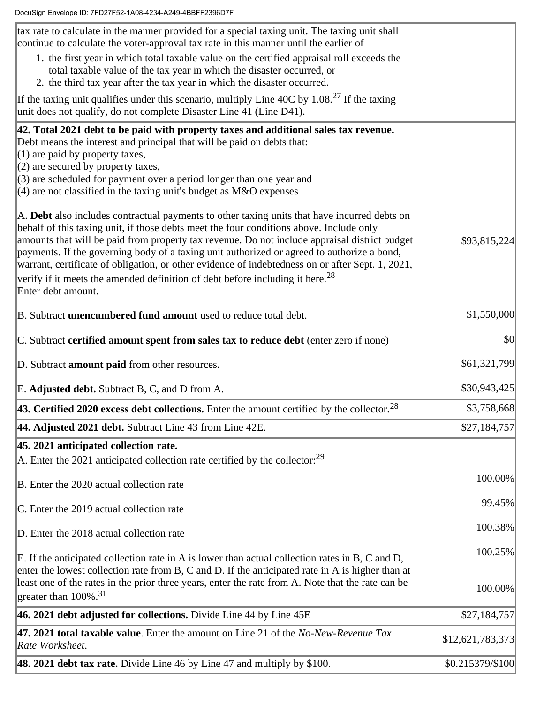| tax rate to calculate in the manner provided for a special taxing unit. The taxing unit shall<br>continue to calculate the voter-approval tax rate in this manner until the earlier of                                                                                                                                                                                                                                                                                                                                                                                                                        |                                  |
|---------------------------------------------------------------------------------------------------------------------------------------------------------------------------------------------------------------------------------------------------------------------------------------------------------------------------------------------------------------------------------------------------------------------------------------------------------------------------------------------------------------------------------------------------------------------------------------------------------------|----------------------------------|
| 1. the first year in which total taxable value on the certified appraisal roll exceeds the<br>total taxable value of the tax year in which the disaster occurred, or<br>2. the third tax year after the tax year in which the disaster occurred.                                                                                                                                                                                                                                                                                                                                                              |                                  |
| If the taxing unit qualifies under this scenario, multiply Line 40C by $1.08.^{27}$ If the taxing<br>unit does not qualify, do not complete Disaster Line 41 (Line D41).                                                                                                                                                                                                                                                                                                                                                                                                                                      |                                  |
| 42. Total 2021 debt to be paid with property taxes and additional sales tax revenue.<br>Debt means the interest and principal that will be paid on debts that:<br>$(1)$ are paid by property taxes,<br>$(2)$ are secured by property taxes,<br>(3) are scheduled for payment over a period longer than one year and<br>$(4)$ are not classified in the taxing unit's budget as M&O expenses                                                                                                                                                                                                                   |                                  |
| A. Debt also includes contractual payments to other taxing units that have incurred debts on<br>behalf of this taxing unit, if those debts meet the four conditions above. Include only<br>amounts that will be paid from property tax revenue. Do not include appraisal district budget<br>payments. If the governing body of a taxing unit authorized or agreed to authorize a bond,<br>warrant, certificate of obligation, or other evidence of indebtedness on or after Sept. 1, 2021,<br>verify if it meets the amended definition of debt before including it here. <sup>28</sup><br>Enter debt amount. | \$93,815,224                     |
| B. Subtract unencumbered fund amount used to reduce total debt.                                                                                                                                                                                                                                                                                                                                                                                                                                                                                                                                               | \$1,550,000                      |
| C. Subtract certified amount spent from sales tax to reduce debt (enter zero if none)                                                                                                                                                                                                                                                                                                                                                                                                                                                                                                                         | \$0                              |
|                                                                                                                                                                                                                                                                                                                                                                                                                                                                                                                                                                                                               |                                  |
| D. Subtract <b>amount paid</b> from other resources.                                                                                                                                                                                                                                                                                                                                                                                                                                                                                                                                                          | \$61,321,799                     |
| E. Adjusted debt. Subtract B, C, and D from A.                                                                                                                                                                                                                                                                                                                                                                                                                                                                                                                                                                | \$30,943,425                     |
| <b>43. Certified 2020 excess debt collections.</b> Enter the amount certified by the collector. <sup>28</sup>                                                                                                                                                                                                                                                                                                                                                                                                                                                                                                 | \$3,758,668                      |
| 44. Adjusted 2021 debt. Subtract Line 43 from Line 42E.                                                                                                                                                                                                                                                                                                                                                                                                                                                                                                                                                       | \$27,184,757                     |
| 45. 2021 anticipated collection rate.                                                                                                                                                                                                                                                                                                                                                                                                                                                                                                                                                                         |                                  |
| $ $ A. Enter the 2021 anticipated collection rate certified by the collector: $^{29}$                                                                                                                                                                                                                                                                                                                                                                                                                                                                                                                         |                                  |
| B. Enter the 2020 actual collection rate                                                                                                                                                                                                                                                                                                                                                                                                                                                                                                                                                                      | 100.00%                          |
| C. Enter the 2019 actual collection rate                                                                                                                                                                                                                                                                                                                                                                                                                                                                                                                                                                      | 99.45%                           |
| D. Enter the 2018 actual collection rate                                                                                                                                                                                                                                                                                                                                                                                                                                                                                                                                                                      | 100.38%                          |
| E. If the anticipated collection rate in A is lower than actual collection rates in B, C and D,<br>enter the lowest collection rate from B, C and D. If the anticipated rate in A is higher than at<br>least one of the rates in the prior three years, enter the rate from A. Note that the rate can be                                                                                                                                                                                                                                                                                                      | 100.25%<br>100.00%               |
| greater than 100%. <sup>31</sup>                                                                                                                                                                                                                                                                                                                                                                                                                                                                                                                                                                              |                                  |
| 46. 2021 debt adjusted for collections. Divide Line 44 by Line 45E<br>47. 2021 total taxable value. Enter the amount on Line 21 of the No-New-Revenue Tax                                                                                                                                                                                                                                                                                                                                                                                                                                                     | \$27,184,757<br>\$12,621,783,373 |
| Rate Worksheet.<br>48. 2021 debt tax rate. Divide Line 46 by Line 47 and multiply by \$100.                                                                                                                                                                                                                                                                                                                                                                                                                                                                                                                   | \$0.215379/\$100                 |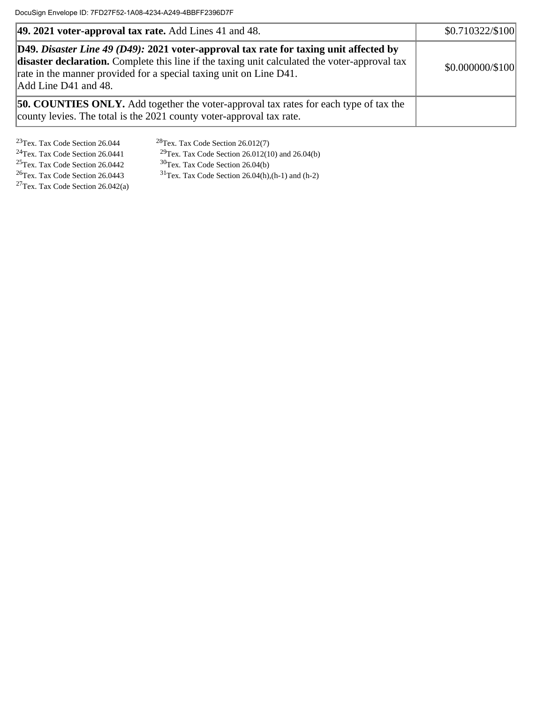| $ 49.2021$ voter-approval tax rate. Add Lines 41 and 48.                                                                                                                                                                                                                             | \$0.710322/\$100 |
|--------------------------------------------------------------------------------------------------------------------------------------------------------------------------------------------------------------------------------------------------------------------------------------|------------------|
| D49. Disaster Line 49 (D49): 2021 voter-approval tax rate for taxing unit affected by<br>disaster declaration. Complete this line if the taxing unit calculated the voter-approval tax<br>rate in the manner provided for a special taxing unit on Line D41.<br>Add Line D41 and 48. | \$0.000000/\$100 |
| <b>50. COUNTIES ONLY.</b> Add together the voter-approval tax rates for each type of tax the<br>county levies. The total is the 2021 county voter-approval tax rate.                                                                                                                 |                  |

<sup>23</sup>Tex. Tax Code Section 26.044 <sup>28</sup>Tex. Tax Code Section 26.012(7)<br><sup>24</sup>Tex. Tax Code Section 26.0441 <sup>29</sup>Tex. Tax Code Section 26.012(1

<sup>24</sup>Tex. Tax Code Section 26.0441 <sup>29</sup>Tex. Tax Code Section 26.012(10) and 26.04(b)<sup>25</sup>Tex. Tax Code Section 26.04(b)<sup>25</sup>Tex. Tax Code Section 26.04(b)

<sup>27</sup>Tex. Tax Code Section 26.042(a)

<sup>25</sup>Tex. Tax Code Section 26.0442 <sup>30</sup>Tex. Tax Code Section 26.04(b)<br><sup>26</sup>Tex. Tax Code Section 26.0443 <sup>31</sup>Tex. Tax Code Section 26.04(h),  $31$ Tex. Tax Code Section 26.04(h),(h-1) and (h-2)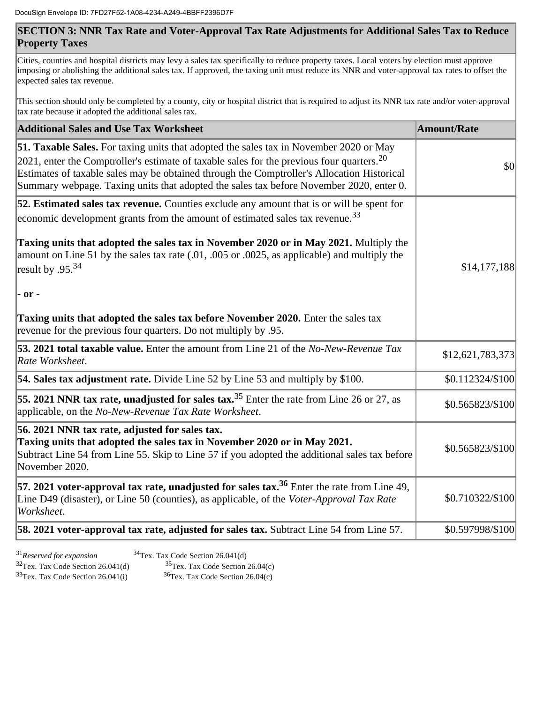## **SECTION 3: NNR Tax Rate and Voter-Approval Tax Rate Adjustments for Additional Sales Tax to Reduce Property Taxes**

Cities, counties and hospital districts may levy a sales tax specifically to reduce property taxes. Local voters by election must approve imposing or abolishing the additional sales tax. If approved, the taxing unit must reduce its NNR and voter-approval tax rates to offset the expected sales tax revenue.

This section should only be completed by a county, city or hospital district that is required to adjust its NNR tax rate and/or voter-approval tax rate because it adopted the additional sales tax.

| <b>Additional Sales and Use Tax Worksheet</b>                                                                                                                                                                                                                                                                                                                                                | Amount/Rate      |
|----------------------------------------------------------------------------------------------------------------------------------------------------------------------------------------------------------------------------------------------------------------------------------------------------------------------------------------------------------------------------------------------|------------------|
| 51. Taxable Sales. For taxing units that adopted the sales tax in November 2020 or May<br>$ 2021$ , enter the Comptroller's estimate of taxable sales for the previous four quarters. <sup>20</sup><br>Estimates of taxable sales may be obtained through the Comptroller's Allocation Historical<br>Summary webpage. Taxing units that adopted the sales tax before November 2020, enter 0. | \$0              |
| 52. Estimated sales tax revenue. Counties exclude any amount that is or will be spent for<br>economic development grants from the amount of estimated sales tax revenue. <sup>33</sup>                                                                                                                                                                                                       |                  |
| Taxing units that adopted the sales tax in November 2020 or in May 2021. Multiply the<br>amount on Line 51 by the sales tax rate (.01, .005 or .0025, as applicable) and multiply the<br>result by .95. <sup>34</sup><br>$-$ or $-$                                                                                                                                                          | \$14,177,188     |
| Taxing units that adopted the sales tax before November 2020. Enter the sales tax<br>revenue for the previous four quarters. Do not multiply by .95.                                                                                                                                                                                                                                         |                  |
| 53. 2021 total taxable value. Enter the amount from Line 21 of the No-New-Revenue Tax<br>Rate Worksheet.                                                                                                                                                                                                                                                                                     | \$12,621,783,373 |
| 54. Sales tax adjustment rate. Divide Line 52 by Line 53 and multiply by \$100.                                                                                                                                                                                                                                                                                                              | \$0.112324/\$100 |
| 55. 2021 NNR tax rate, unadjusted for sales tax. $35$ Enter the rate from Line 26 or 27, as<br>applicable, on the No-New-Revenue Tax Rate Worksheet.                                                                                                                                                                                                                                         | \$0.565823/\$100 |
| 56. 2021 NNR tax rate, adjusted for sales tax.<br>Taxing units that adopted the sales tax in November 2020 or in May 2021.<br>Subtract Line 54 from Line 55. Skip to Line 57 if you adopted the additional sales tax before<br>November 2020.                                                                                                                                                | \$0.565823/\$100 |
| 57. 2021 voter-approval tax rate, unadjusted for sales tax. <sup>36</sup> Enter the rate from Line 49,<br>Line D49 (disaster), or Line 50 (counties), as applicable, of the Voter-Approval Tax Rate<br>Worksheet.                                                                                                                                                                            | \$0.710322/\$100 |
| 58. 2021 voter-approval tax rate, adjusted for sales tax. Subtract Line 54 from Line 57.                                                                                                                                                                                                                                                                                                     | \$0.597998/\$100 |

<sup>31</sup>*Reserved for expansion* <sup>34</sup>Tex. Tax Code Section 26.041(d) <sup>32</sup>Tex. Tax Code Section 26.041(d) <sup>35</sup>Tex. Tax Code Section 26.04(c)<br><sup>33</sup>Tex. Tax Code Section 26.041(i) <sup>36</sup>Tex. Tax Code Section 26.04(c)  $33$ Tex. Tax Code Section 26.041(i)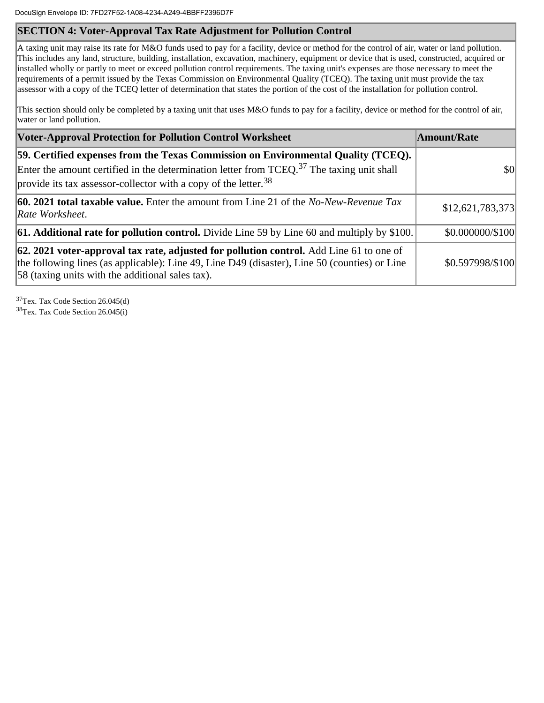## **SECTION 4: Voter-Approval Tax Rate Adjustment for Pollution Control**

A taxing unit may raise its rate for M&O funds used to pay for a facility, device or method for the control of air, water or land pollution. This includes any land, structure, building, installation, excavation, machinery, equipment or device that is used, constructed, acquired or installed wholly or partly to meet or exceed pollution control requirements. The taxing unit's expenses are those necessary to meet the requirements of a permit issued by the Texas Commission on Environmental Quality (TCEQ). The taxing unit must provide the tax assessor with a copy of the TCEQ letter of determination that states the portion of the cost of the installation for pollution control.

This section should only be completed by a taxing unit that uses M&O funds to pay for a facility, device or method for the control of air, water or land pollution.

| <b>Voter-Approval Protection for Pollution Control Worksheet</b>                                                                                                                                                                                                     | <b>Amount/Rate</b> |
|----------------------------------------------------------------------------------------------------------------------------------------------------------------------------------------------------------------------------------------------------------------------|--------------------|
| [59. Certified expenses from the Texas Commission on Environmental Quality (TCEQ).<br>Enter the amount certified in the determination letter from $TCEQ$ . <sup>37</sup> The taxing unit shall<br>provide its tax assessor-collector with a copy of the letter. $38$ | \$0                |
| <b>60. 2021 total taxable value.</b> Enter the amount from Line 21 of the No-New-Revenue Tax<br>Rate Worksheet.                                                                                                                                                      | \$12,621,783,373   |
| <b>61. Additional rate for pollution control.</b> Divide Line 59 by Line 60 and multiply by \$100.                                                                                                                                                                   | \$0.000000/\$100   |
| 62. 2021 voter-approval tax rate, adjusted for pollution control. Add Line 61 to one of<br>the following lines (as applicable): Line 49, Line D49 (disaster), Line 50 (counties) or Line<br>[58 (taxing units with the additional sales tax).                        | \$0.597998/\$100   |

<sup>37</sup>Tex. Tax Code Section 26.045(d) <sup>38</sup>Tex. Tax Code Section 26.045(i)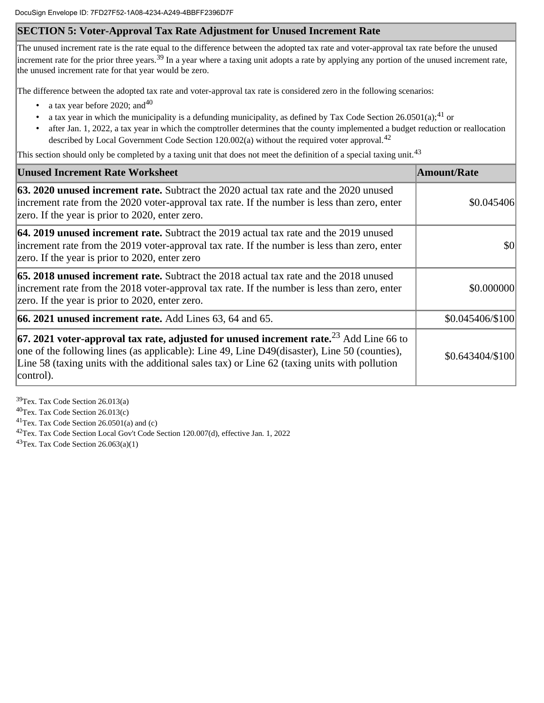## **SECTION 5: Voter-Approval Tax Rate Adjustment for Unused Increment Rate**

The unused increment rate is the rate equal to the difference between the adopted tax rate and voter-approval tax rate before the unused increment rate for the prior three years.<sup>39</sup> In a year where a taxing unit adopts a rate by applying any portion of the unused increment rate, the unused increment rate for that year would be zero.

The difference between the adopted tax rate and voter-approval tax rate is considered zero in the following scenarios:

- a tax year before 2020; and  $40$
- a tax year in which the municipality is a defunding municipality, as defined by Tax Code Section 26.0501(a);<sup>41</sup> or
- after Jan. 1, 2022, a tax year in which the comptroller determines that the county implemented a budget reduction or reallocation described by Local Government Code Section 120.002(a) without the required voter approval.<sup>42</sup>

This section should only be completed by a taxing unit that does not meet the definition of a special taxing unit.<sup>43</sup>

| <b>Unused Increment Rate Worksheet</b>                                                                                                                                                                                                                                                                            | <b>Amount/Rate</b> |
|-------------------------------------------------------------------------------------------------------------------------------------------------------------------------------------------------------------------------------------------------------------------------------------------------------------------|--------------------|
| <b>63. 2020 unused increment rate.</b> Subtract the 2020 actual tax rate and the 2020 unused<br>increment rate from the 2020 voter-approval tax rate. If the number is less than zero, enter<br>zero. If the year is prior to 2020, enter zero.                                                                   | \$0.045406         |
| <b>64. 2019 unused increment rate.</b> Subtract the 2019 actual tax rate and the 2019 unused<br>increment rate from the 2019 voter-approval tax rate. If the number is less than zero, enter<br>zero. If the year is prior to 2020, enter zero                                                                    | \$0                |
| <b>65. 2018 unused increment rate.</b> Subtract the 2018 actual tax rate and the 2018 unused<br>increment rate from the 2018 voter-approval tax rate. If the number is less than zero, enter<br>zero. If the year is prior to 2020, enter zero.                                                                   | \$0.000000         |
| $ 66.2021$ unused increment rate. Add Lines 63, 64 and 65.                                                                                                                                                                                                                                                        | \$0.045406/\$100   |
| $ 67.2021$ voter-approval tax rate, adjusted for unused increment rate. <sup>23</sup> Add Line 66 to<br>one of the following lines (as applicable): Line 49, Line D49(disaster), Line 50 (counties),<br>Line 58 (taxing units with the additional sales tax) or Line 62 (taxing units with pollution<br>control). | \$0.643404/\$100   |

Tex. Tax Code Section 26.013(a) Tex. Tax Code Section 26.013(c) Tex. Tax Code Section 26.0501(a) and (c) Tex. Tax Code Section Local Gov't Code Section 120.007(d), effective Jan. 1, 2022

 $43$ Tex. Tax Code Section 26.063(a)(1)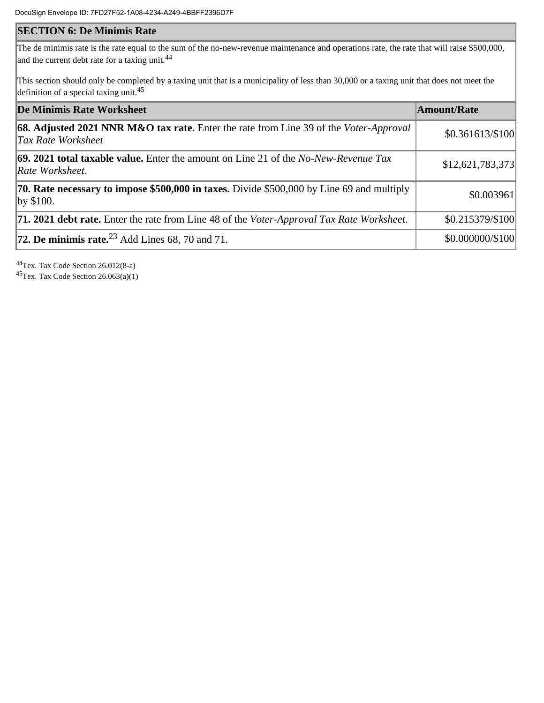## **SECTION 6: De Minimis Rate**

The de minimis rate is the rate equal to the sum of the no-new-revenue maintenance and operations rate, the rate that will raise \$500,000, and the current debt rate for a taxing unit.<sup>44</sup>

This section should only be completed by a taxing unit that is a municipality of less than 30,000 or a taxing unit that does not meet the definition of a special taxing unit.<sup>45</sup>

| De Minimis Rate Worksheet                                                                                     | Amount/Rate      |
|---------------------------------------------------------------------------------------------------------------|------------------|
| 68. Adjusted 2021 NNR M&O tax rate. Enter the rate from Line 39 of the Voter-Approval<br>Tax Rate Worksheet   | \$0.361613/\$100 |
| 69. 2021 total taxable value. Enter the amount on Line 21 of the No-New-Revenue Tax<br>Rate Worksheet.        | \$12,621,783,373 |
| <b>70. Rate necessary to impose \$500,000 in taxes.</b> Divide \$500,000 by Line 69 and multiply<br>by \$100. | \$0.003961       |
| <b>71. 2021 debt rate.</b> Enter the rate from Line 48 of the <i>Voter-Approval Tax Rate Worksheet</i> .      | \$0.215379/\$100 |
| 72. De minimis rate. $^{23}$ Add Lines 68, 70 and 71.                                                         | \$0.000000/\$100 |

<sup>44</sup>Tex. Tax Code Section 26.012(8-a) <sup>45</sup>Tex. Tax Code Section 26.063(a)(1)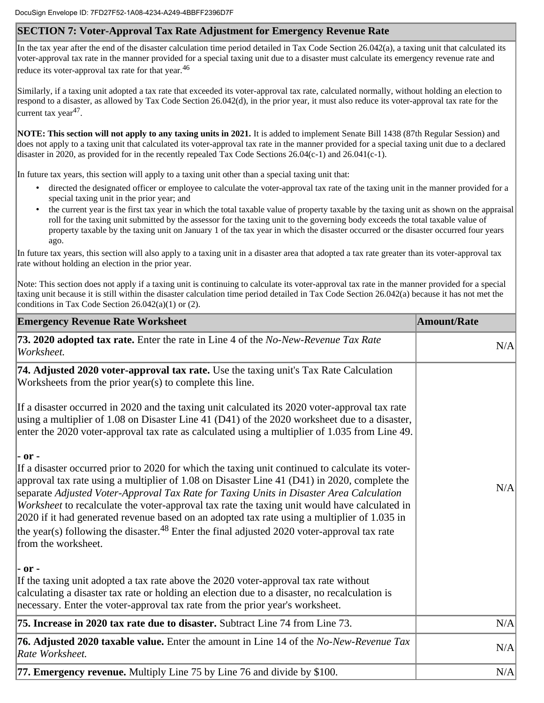## **SECTION 7: Voter-Approval Tax Rate Adjustment for Emergency Revenue Rate**

In the tax year after the end of the disaster calculation time period detailed in Tax Code Section 26.042(a), a taxing unit that calculated its voter-approval tax rate in the manner provided for a special taxing unit due to a disaster must calculate its emergency revenue rate and reduce its voter-approval tax rate for that year. $46$ 

Similarly, if a taxing unit adopted a tax rate that exceeded its voter-approval tax rate, calculated normally, without holding an election to respond to a disaster, as allowed by Tax Code Section 26.042(d), in the prior year, it must also reduce its voter-approval tax rate for the current tax year<sup>47</sup>.

**NOTE: This section will not apply to any taxing units in 2021.** It is added to implement Senate Bill 1438 (87th Regular Session) and does not apply to a taxing unit that calculated its voter-approval tax rate in the manner provided for a special taxing unit due to a declared disaster in 2020, as provided for in the recently repealed Tax Code Sections 26.04(c-1) and 26.041(c-1).

In future tax years, this section will apply to a taxing unit other than a special taxing unit that:

- directed the designated officer or employee to calculate the voter-approval tax rate of the taxing unit in the manner provided for a special taxing unit in the prior year; and
- the current year is the first tax year in which the total taxable value of property taxable by the taxing unit as shown on the appraisal roll for the taxing unit submitted by the assessor for the taxing unit to the governing body exceeds the total taxable value of property taxable by the taxing unit on January 1 of the tax year in which the disaster occurred or the disaster occurred four years ago.

In future tax years, this section will also apply to a taxing unit in a disaster area that adopted a tax rate greater than its voter-approval tax rate without holding an election in the prior year.

Note: This section does not apply if a taxing unit is continuing to calculate its voter-approval tax rate in the manner provided for a special taxing unit because it is still within the disaster calculation time period detailed in Tax Code Section 26.042(a) because it has not met the conditions in Tax Code Section 26.042(a)(1) or (2).

| <b>Emergency Revenue Rate Worksheet</b>                                                                                                                                                                                                                                                                                                                                                                                                                                                                                                                                                                                                  | <b>Amount/Rate</b> |
|------------------------------------------------------------------------------------------------------------------------------------------------------------------------------------------------------------------------------------------------------------------------------------------------------------------------------------------------------------------------------------------------------------------------------------------------------------------------------------------------------------------------------------------------------------------------------------------------------------------------------------------|--------------------|
| 73. 2020 adopted tax rate. Enter the rate in Line 4 of the No-New-Revenue Tax Rate<br>Worksheet.                                                                                                                                                                                                                                                                                                                                                                                                                                                                                                                                         | N/A                |
| 74. Adjusted 2020 voter-approval tax rate. Use the taxing unit's Tax Rate Calculation<br>Worksheets from the prior year(s) to complete this line.                                                                                                                                                                                                                                                                                                                                                                                                                                                                                        |                    |
| If a disaster occurred in 2020 and the taxing unit calculated its 2020 voter-approval tax rate<br>using a multiplier of 1.08 on Disaster Line 41 (D41) of the 2020 worksheet due to a disaster,<br>enter the 2020 voter-approval tax rate as calculated using a multiplier of 1.035 from Line 49.                                                                                                                                                                                                                                                                                                                                        |                    |
| - or -<br>If a disaster occurred prior to 2020 for which the taxing unit continued to calculate its voter-<br>approval tax rate using a multiplier of 1.08 on Disaster Line 41 (D41) in 2020, complete the<br>separate Adjusted Voter-Approval Tax Rate for Taxing Units in Disaster Area Calculation<br>Worksheet to recalculate the voter-approval tax rate the taxing unit would have calculated in<br>2020 if it had generated revenue based on an adopted tax rate using a multiplier of 1.035 in<br>the year(s) following the disaster. <sup>48</sup> Enter the final adjusted 2020 voter-approval tax rate<br>from the worksheet. | N/A                |
| - or -<br>If the taxing unit adopted a tax rate above the 2020 voter-approval tax rate without<br>calculating a disaster tax rate or holding an election due to a disaster, no recalculation is<br>necessary. Enter the voter-approval tax rate from the prior year's worksheet.                                                                                                                                                                                                                                                                                                                                                         |                    |
| 75. Increase in 2020 tax rate due to disaster. Subtract Line 74 from Line 73.                                                                                                                                                                                                                                                                                                                                                                                                                                                                                                                                                            | N/A                |
| <b>76. Adjusted 2020 taxable value.</b> Enter the amount in Line 14 of the No-New-Revenue Tax<br>Rate Worksheet.                                                                                                                                                                                                                                                                                                                                                                                                                                                                                                                         | N/A                |
| 77. Emergency revenue. Multiply Line 75 by Line 76 and divide by \$100.                                                                                                                                                                                                                                                                                                                                                                                                                                                                                                                                                                  | N/A                |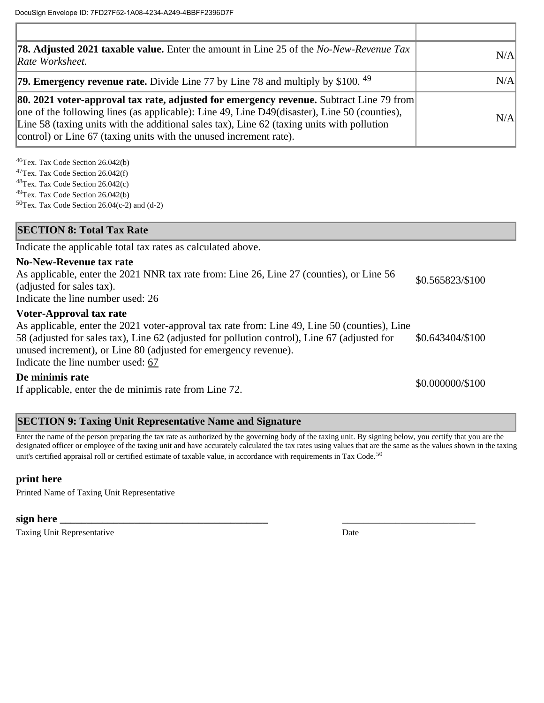| <b>78. Adjusted 2021 taxable value.</b> Enter the amount in Line 25 of the No-New-Revenue Tax<br>Rate Worksheet.                                                                                                                                                                                                                                                   | N/A |
|--------------------------------------------------------------------------------------------------------------------------------------------------------------------------------------------------------------------------------------------------------------------------------------------------------------------------------------------------------------------|-----|
| <b>79. Emergency revenue rate.</b> Divide Line 77 by Line 78 and multiply by \$100. $49$                                                                                                                                                                                                                                                                           | N/A |
| <b>80. 2021 voter-approval tax rate, adjusted for emergency revenue.</b> Subtract Line 79 from<br>one of the following lines (as applicable): Line 49, Line D49(disaster), Line 50 (counties),<br>Line 58 (taxing units with the additional sales tax), Line 62 (taxing units with pollution<br>control) or Line 67 (taxing units with the unused increment rate). | N/A |

Tex. Tax Code Section 26.042(b) Tex. Tax Code Section 26.042(f) Tex. Tax Code Section 26.042(c) Tex. Tax Code Section 26.042(b) Tex. Tax Code Section 26.04(c-2) and (d-2)

## **SECTION 8: Total Tax Rate**

Indicate the applicable total tax rates as calculated above.

### **No-New-Revenue tax rate**

As applicable, enter the 2021 NNR tax rate from: Line 26, Line 27 (counties), or Line 56 (adjusted for sales tax). Indicate the line number used: 26 \$0.565823/\$100

**Voter-Approval tax rate**

As applicable, enter the 2021 voter-approval tax rate from: Line 49, Line 50 (counties), Line 58 (adjusted for sales tax), Line 62 (adjusted for pollution control), Line 67 (adjusted for unused increment), or Line 80 (adjusted for emergency revenue). Indicate the line number used: 67 \$0.643404/\$100

### **De minimis rate**

If applicable, enter the de minimis rate from Line 72. \$0.000000/\$100

## **SECTION 9: Taxing Unit Representative Name and Signature**

Enter the name of the person preparing the tax rate as authorized by the governing body of the taxing unit. By signing below, you certify that you are the designated officer or employee of the taxing unit and have accurately calculated the tax rates using values that are the same as the values shown in the taxing unit's certified appraisal roll or certified estimate of taxable value, in accordance with requirements in Tax Code.<sup>50</sup>

## **print here**

Printed Name of Taxing Unit Representative

## **sign here \_\_\_\_\_\_\_\_\_\_\_\_\_\_\_\_\_\_\_\_\_\_\_\_\_\_\_\_\_\_\_\_\_\_\_\_\_\_\_** \_\_\_\_\_\_\_\_\_\_\_\_\_\_\_\_\_\_\_\_\_\_\_\_\_

Taxing Unit Representative **Date** Date of *Lieuweight* Date Date Date of *Date* Date of *Date* Date of *Date* Date of *Date* Date of *Date* of *Date* of *Date* of *Date* of *Date* of *Date* of *Date* of *Date* of *Date* of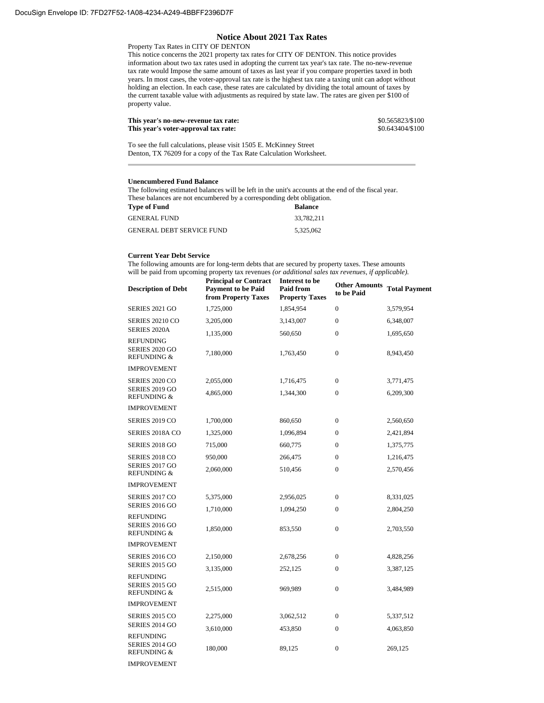#### **Notice About 2021 Tax Rates**

Property Tax Rates in CITY OF DENTON

This notice concerns the 2021 property tax rates for CITY OF DENTON. This notice provides information about two tax rates used in adopting the current tax year's tax rate. The no-new-revenue tax rate would Impose the same amount of taxes as last year if you compare properties taxed in both years. In most cases, the voter-approval tax rate is the highest tax rate a taxing unit can adopt without holding an election. In each case, these rates are calculated by dividing the total amount of taxes by the current taxable value with adjustments as required by state law. The rates are given per \$100 of property value.

| This year's no-new-revenue tax rate: | \$0.565823/\$100 |
|--------------------------------------|------------------|
| This year's voter-approval tax rate: | \$0.643404/\$100 |

To see the full calculations, please visit 1505 E. McKinney Street Denton, TX 76209 for a copy of the Tax Rate Calculation Worksheet.

#### **Unencumbered Fund Balance**

The following estimated balances will be left in the unit's accounts at the end of the fiscal year. These balances are not encumbered by a corresponding debt obligation.<br>These of Faust

| Type of Fund              | <b>Balance</b> |
|---------------------------|----------------|
| GENERAL FUND.             | 33,782,211     |
| GENERAL DEBT SERVICE FUND | 5.325.062      |

#### **Current Year Debt Service**

The following amounts are for long-term debts that are secured by property taxes. These amounts will be paid from upcoming property tax revenues *(or additional sales tax revenues, if applicable).*

| <b>Description of Debt</b>                                          | <b>Principal or Contract</b><br><b>Payment to be Paid</b><br>from Property Taxes | Interest to be<br><b>Paid from</b><br><b>Property Taxes</b> | <b>Other Amounts</b><br>to be Paid | <b>Total Payment</b> |
|---------------------------------------------------------------------|----------------------------------------------------------------------------------|-------------------------------------------------------------|------------------------------------|----------------------|
| <b>SERIES 2021 GO</b>                                               | 1,725,000                                                                        | 1,854,954                                                   | $\mathbf{0}$                       | 3,579,954            |
| <b>SERIES 20210 CO</b>                                              | 3,205,000                                                                        | 3,143,007                                                   | $\mathbf{0}$                       | 6,348,007            |
| SERIES 2020A                                                        | 1,135,000                                                                        | 560,650                                                     | $\mathbf{0}$                       | 1,695,650            |
| <b>REFUNDING</b><br><b>SERIES 2020 GO</b><br><b>REFUNDING &amp;</b> | 7,180,000                                                                        | 1,763,450                                                   | $\bf{0}$                           | 8,943,450            |
| <b>IMPROVEMENT</b>                                                  |                                                                                  |                                                             |                                    |                      |
| SERIES 2020 CO                                                      | 2,055,000                                                                        | 1,716,475                                                   | $\mathbf{0}$                       | 3,771,475            |
| SERIES 2019 GO<br><b>REFUNDING &amp;</b>                            | 4,865,000                                                                        | 1,344,300                                                   | $\mathbf{0}$                       | 6,209,300            |
| <b>IMPROVEMENT</b>                                                  |                                                                                  |                                                             |                                    |                      |
| SERIES 2019 CO                                                      | 1,700,000                                                                        | 860,650                                                     | $\bf{0}$                           | 2,560,650            |
| SERIES 2018A CO                                                     | 1,325,000                                                                        | 1,096,894                                                   | $\mathbf{0}$                       | 2,421,894            |
| <b>SERIES 2018 GO</b>                                               | 715,000                                                                          | 660,775                                                     | $\mathbf{0}$                       | 1,375,775            |
| SERIES 2018 CO                                                      | 950,000                                                                          | 266,475                                                     | $\bf{0}$                           | 1,216,475            |
| <b>SERIES 2017 GO</b><br><b>REFUNDING &amp;</b>                     | 2,060,000                                                                        | 510,456                                                     | $\mathbf{0}$                       | 2,570,456            |
| <b>IMPROVEMENT</b>                                                  |                                                                                  |                                                             |                                    |                      |
| SERIES 2017 CO                                                      | 5,375,000                                                                        | 2,956,025                                                   | $\mathbf{0}$                       | 8,331,025            |
| <b>SERIES 2016 GO</b>                                               | 1,710,000                                                                        | 1,094,250                                                   | $\bf{0}$                           | 2,804,250            |
| <b>REFUNDING</b><br><b>SERIES 2016 GO</b><br><b>REFUNDING &amp;</b> | 1,850,000                                                                        | 853,550                                                     | $\mathbf{0}$                       | 2,703,550            |
| <b>IMPROVEMENT</b>                                                  |                                                                                  |                                                             |                                    |                      |
| SERIES 2016 CO                                                      | 2,150,000                                                                        | 2,678,256                                                   | $\mathbf{0}$                       | 4,828,256            |
| <b>SERIES 2015 GO</b>                                               | 3,135,000                                                                        | 252,125                                                     | $\mathbf{0}$                       | 3,387,125            |
| <b>REFUNDING</b><br><b>SERIES 2015 GO</b><br><b>REFUNDING &amp;</b> | 2,515,000                                                                        | 969,989                                                     | $\bf{0}$                           | 3,484,989            |
| <b>IMPROVEMENT</b>                                                  |                                                                                  |                                                             |                                    |                      |
| SERIES 2015 CO                                                      | 2,275,000                                                                        | 3,062,512                                                   | $\mathbf{0}$                       | 5,337,512            |
| SERIES 2014 GO                                                      | 3,610,000                                                                        | 453,850                                                     | $\mathbf{0}$                       | 4,063,850            |
| <b>REFUNDING</b><br><b>SERIES 2014 GO</b><br><b>REFUNDING &amp;</b> | 180,000                                                                          | 89,125                                                      | $\mathbf{0}$                       | 269,125              |
|                                                                     |                                                                                  |                                                             |                                    |                      |

IMPROVEMENT